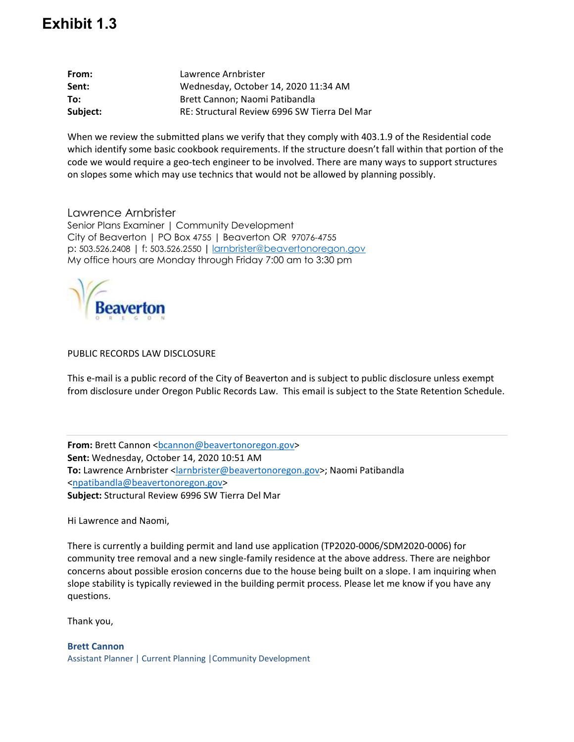## **Exhibit 1.3**

| From:    | Lawrence Arnbrister                          |
|----------|----------------------------------------------|
| Sent:    | Wednesday, October 14, 2020 11:34 AM         |
| To:      | Brett Cannon; Naomi Patibandla               |
| Subject: | RE: Structural Review 6996 SW Tierra Del Mar |

When we review the submitted plans we verify that they comply with 403.1.9 of the Residential code which identify some basic cookbook requirements. If the structure doesn't fall within that portion of the code we would require a geo-tech engineer to be involved. There are many ways to support structures on slopes some which may use technics that would not be allowed by planning possibly.

Lawrence Arnbrister

Senior Plans Examiner | Community Development City of Beaverton | PO Box 4755 | Beaverton OR 97076-4755 p: 503.526.2408 | f: 503.526.2550 **|** larnbrister@beavertonoregon.gov My office hours are Monday through Friday 7:00 am to 3:30 pm



## PUBLIC RECORDS LAW DISCLOSURE

This e-mail is a public record of the City of Beaverton and is subject to public disclosure unless exempt from disclosure under Oregon Public Records Law. This email is subject to the State Retention Schedule.

**From:** Brett Cannon <bcannon@beavertonoregon.gov> **Sent:** Wednesday, October 14, 2020 10:51 AM **To:** Lawrence Arnbrister <larnbrister@beavertonoregon.gov>; Naomi Patibandla <npatibandla@beavertonoregon.gov> **Subject:** Structural Review 6996 SW Tierra Del Mar

Hi Lawrence and Naomi,

There is currently a building permit and land use application (TP2020-0006/SDM2020-0006) for community tree removal and a new single-family residence at the above address. There are neighbor concerns about possible erosion concerns due to the house being built on a slope. I am inquiring when slope stability is typically reviewed in the building permit process. Please let me know if you have any questions.

Thank you,

**Brett Cannon** Assistant Planner | Current Planning |Community Development